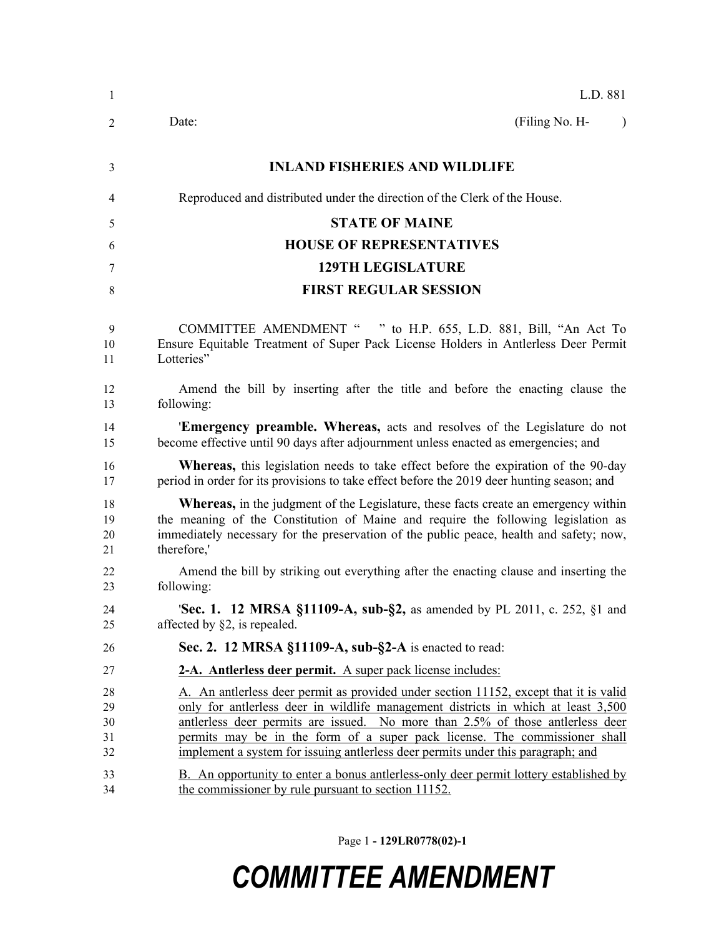| $\mathbf{1}$               | L.D. 881                                                                                                                                                                                                                                                                                                                                                                                                                       |
|----------------------------|--------------------------------------------------------------------------------------------------------------------------------------------------------------------------------------------------------------------------------------------------------------------------------------------------------------------------------------------------------------------------------------------------------------------------------|
| $\overline{2}$             | (Filing No. H-<br>Date:<br>$\lambda$                                                                                                                                                                                                                                                                                                                                                                                           |
| 3                          | <b>INLAND FISHERIES AND WILDLIFE</b>                                                                                                                                                                                                                                                                                                                                                                                           |
| 4                          | Reproduced and distributed under the direction of the Clerk of the House.                                                                                                                                                                                                                                                                                                                                                      |
| 5                          | <b>STATE OF MAINE</b>                                                                                                                                                                                                                                                                                                                                                                                                          |
| 6                          | <b>HOUSE OF REPRESENTATIVES</b>                                                                                                                                                                                                                                                                                                                                                                                                |
| 7                          | <b>129TH LEGISLATURE</b>                                                                                                                                                                                                                                                                                                                                                                                                       |
| 8                          | <b>FIRST REGULAR SESSION</b>                                                                                                                                                                                                                                                                                                                                                                                                   |
| 9<br>10<br>11              | COMMITTEE AMENDMENT " " to H.P. 655, L.D. 881, Bill, "An Act To<br>Ensure Equitable Treatment of Super Pack License Holders in Antlerless Deer Permit<br>Lotteries"                                                                                                                                                                                                                                                            |
| 12<br>13                   | Amend the bill by inserting after the title and before the enacting clause the<br>following:                                                                                                                                                                                                                                                                                                                                   |
| 14<br>15                   | <b>Emergency preamble. Whereas,</b> acts and resolves of the Legislature do not<br>become effective until 90 days after adjournment unless enacted as emergencies; and                                                                                                                                                                                                                                                         |
| 16<br>17                   | <b>Whereas</b> , this legislation needs to take effect before the expiration of the 90-day<br>period in order for its provisions to take effect before the 2019 deer hunting season; and                                                                                                                                                                                                                                       |
| 18<br>19<br>20<br>21       | <b>Whereas,</b> in the judgment of the Legislature, these facts create an emergency within<br>the meaning of the Constitution of Maine and require the following legislation as<br>immediately necessary for the preservation of the public peace, health and safety; now,<br>therefore,'                                                                                                                                      |
| 22<br>23                   | Amend the bill by striking out everything after the enacting clause and inserting the<br>following:                                                                                                                                                                                                                                                                                                                            |
| 24<br>25                   | <b>Sec. 1. 12 MRSA §11109-A, sub-§2,</b> as amended by PL 2011, c. 252, §1 and<br>affected by $\S2$ , is repealed.                                                                                                                                                                                                                                                                                                             |
| 26                         | Sec. 2. 12 MRSA §11109-A, sub-§2-A is enacted to read:                                                                                                                                                                                                                                                                                                                                                                         |
| 27                         | 2-A. Antlerless deer permit. A super pack license includes:                                                                                                                                                                                                                                                                                                                                                                    |
| 28<br>29<br>30<br>31<br>32 | A. An antierless deer permit as provided under section 11152, except that it is valid<br>only for antierless deer in wildlife management districts in which at least 3,500<br>antlerless deer permits are issued. No more than 2.5% of those antlerless deer<br>permits may be in the form of a super pack license. The commissioner shall<br>implement a system for issuing antierless deer permits under this paragraph; and |
| 33<br>34                   | B. An opportunity to enter a bonus antierless-only deer permit lottery established by<br>the commissioner by rule pursuant to section 11152.                                                                                                                                                                                                                                                                                   |

Page 1 **- 129LR0778(02)-1**

## *COMMITTEE AMENDMENT*